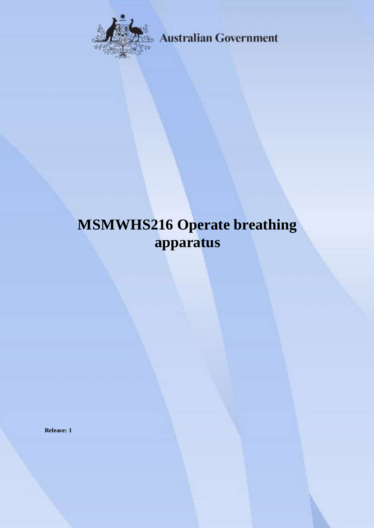

**Australian Government** 

# **MSMWHS216 Operate breathing apparatus**

**Release: 1**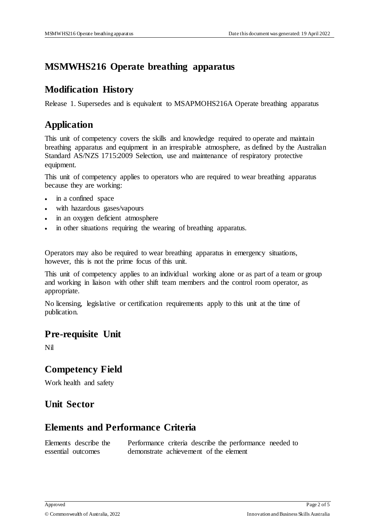## **MSMWHS216 Operate breathing apparatus**

#### **Modification History**

Release 1. Supersedes and is equivalent to MSAPMOHS216A Operate breathing apparatus

# **Application**

This unit of competency covers the skills and knowledge required to operate and maintain breathing apparatus and equipment in an irrespirable atmosphere, as defined by the Australian Standard AS/NZS 1715:2009 Selection, use and maintenance of respiratory protective equipment.

This unit of competency applies to operators who are required to wear breathing apparatus because they are working:

- in a confined space
- with hazardous gases/vapours
- in an oxygen deficient atmosphere
- in other situations requiring the wearing of breathing apparatus.

Operators may also be required to wear breathing apparatus in emergency situations, however, this is not the prime focus of this unit.

This unit of competency applies to an individual working alone or as part of a team or group and working in liaison with other shift team members and the control room operator, as appropriate.

No licensing, legislative or certification requirements apply to this unit at the time of publication.

#### **Pre-requisite Unit**

Nil

## **Competency Field**

Work health and safety

## **Unit Sector**

## **Elements and Performance Criteria**

| Elements describe the |                                        |  | Performance criteria describe the performance needed to |  |
|-----------------------|----------------------------------------|--|---------------------------------------------------------|--|
| essential outcomes    | demonstrate achievement of the element |  |                                                         |  |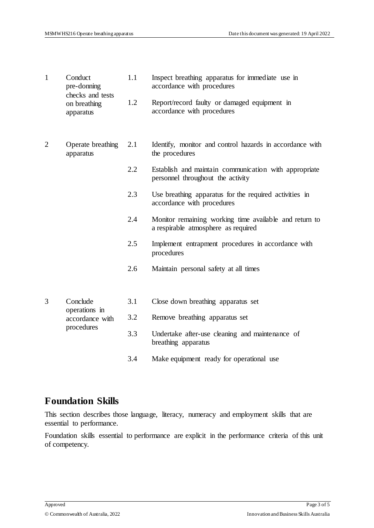| $\mathbf{1}$   | Conduct<br>pre-donning<br>checks and tests                 | 1.1 | Inspect breathing apparatus for immediate use in<br>accordance with procedures                |
|----------------|------------------------------------------------------------|-----|-----------------------------------------------------------------------------------------------|
|                | on breathing<br>apparatus                                  | 1.2 | Report/record faulty or damaged equipment in<br>accordance with procedures                    |
| $\overline{2}$ | Operate breathing<br>apparatus                             | 2.1 | Identify, monitor and control hazards in accordance with<br>the procedures                    |
|                |                                                            | 2.2 | Establish and maintain communication with appropriate<br>personnel throughout the activity    |
|                |                                                            | 2.3 | Use breathing apparatus for the required activities in<br>accordance with procedures          |
|                |                                                            | 2.4 | Monitor remaining working time available and return to<br>a respirable atmosphere as required |
|                |                                                            | 2.5 | Implement entrapment procedures in accordance with<br>procedures                              |
|                |                                                            | 2.6 | Maintain personal safety at all times                                                         |
|                |                                                            |     |                                                                                               |
| 3              | Conclude<br>operations in<br>accordance with<br>procedures | 3.1 | Close down breathing apparatus set                                                            |
|                |                                                            | 3.2 | Remove breathing apparatus set                                                                |
|                |                                                            | 3.3 | Undertake after-use cleaning and maintenance of<br>breathing apparatus                        |
|                |                                                            | 3.4 | Make equipment ready for operational use                                                      |

#### **Foundation Skills**

This section describes those language, literacy, numeracy and employment skills that are essential to performance.

Foundation skills essential to performance are explicit in the performance criteria of this unit of competency.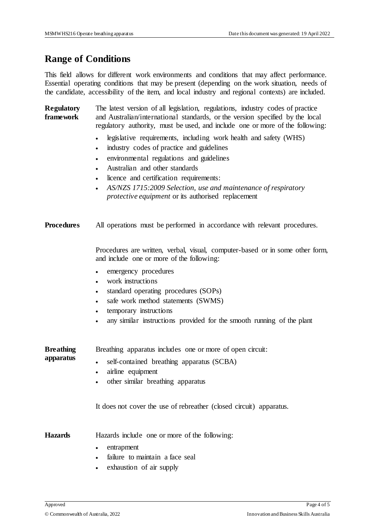## **Range of Conditions**

This field allows for different work environments and conditions that may affect performance. Essential operating conditions that may be present (depending on the work situation, needs of the candidate, accessibility of the item, and local industry and regional contexts) are included.

**Regulatory framework**  The latest version of all legislation, regulations, industry codes of practice and Australian/international standards, or the version specified by the local regulatory authority, must be used, and include one or more of the following:

- legislative requirements, including work health and safety (WHS)
- industry codes of practice and guidelines
- environmental regulations and guidelines
- Australian and other standards
- licence and certification requirements:
- *AS/NZS 1715:2009 Selection, use and maintenance of respiratory protective equipment* or its authorised replacement

| <b>Procedures</b>             | All operations must be performed in accordance with relevant procedures.                                                                                                                   |
|-------------------------------|--------------------------------------------------------------------------------------------------------------------------------------------------------------------------------------------|
|                               | Procedures are written, verbal, visual, computer-based or in some other form,<br>and include one or more of the following:                                                                 |
|                               | emergency procedures<br>$\bullet$<br>work instructions<br>$\bullet$<br>standard operating procedures (SOPs)<br>$\bullet$                                                                   |
|                               | safe work method statements (SWMS)<br>$\bullet$                                                                                                                                            |
|                               | temporary instructions                                                                                                                                                                     |
|                               | any similar instructions provided for the smooth running of the plant<br>$\bullet$                                                                                                         |
| <b>Breathing</b><br>apparatus | Breathing apparatus includes one or more of open circuit:<br>self-contained breathing apparatus (SCBA)<br>airline equipment<br>$\bullet$<br>other similar breathing apparatus<br>$\bullet$ |
|                               | It does not cover the use of rebreather (closed circuit) apparatus.                                                                                                                        |
| <b>Hazards</b>                | Hazards include one or more of the following:                                                                                                                                              |
|                               | entrapment<br>$\bullet$                                                                                                                                                                    |
|                               | failure to maintain a face seal                                                                                                                                                            |
|                               | exhaustion of air supply                                                                                                                                                                   |